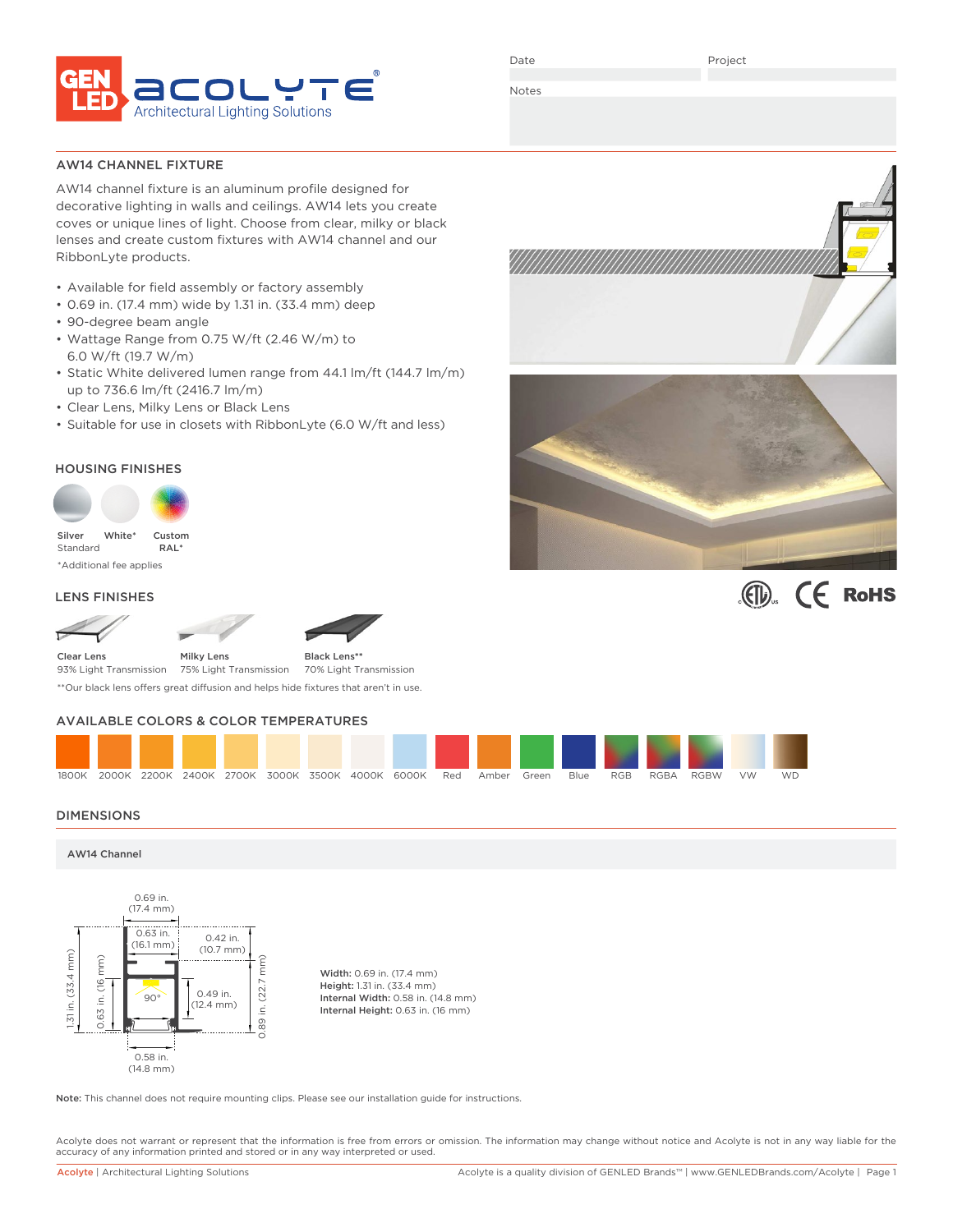

Project

Notes

AW14 CHANNEL FIXTURE

AW14 channel fixture is an aluminum profile designed for decorative lighting in walls and ceilings. AW14 lets you create coves or unique lines of light. Choose from clear, milky or black lenses and create custom fixtures with AW14 channel and our RibbonLyte products.

- Available for field assembly or factory assembly
- 0.69 in. (17.4 mm) wide by 1.31 in. (33.4 mm) deep
- 90-degree beam angle
- Wattage Range from 0.75 W/ft (2.46 W/m) to 6.0 W/ft (19.7 W/m)
- Static White delivered lumen range from 44.1 lm/ft (144.7 lm/m) up to 736.6 lm/ft (2416.7 lm/m)
- Clear Lens, Milky Lens or Black Lens
- Suitable for use in closets with RibbonLyte (6.0 W/ft and less)

# HOUSING FINISHES



Standard \*Additional fee applies RAL\*

### LENS FINISHES



### AVAILABLE COLORS & COLOR TEMPERATURES

| 1800K |  |  |  | 2000K 2200K 2400K 2700K 3000K 3500K 4000K 6000K | Red | Amber Green | Blue | RGB | RGBA | <b>RGBW</b> | <b>VW</b> | WD. |
|-------|--|--|--|-------------------------------------------------|-----|-------------|------|-----|------|-------------|-----------|-----|

### DIMENSIONS

# AW14 Channel



Width: 0.69 in. (17.4 mm) Height: 1.31 in. (33.4 mm) Internal Width: 0.58 in. (14.8 mm) Internal Height: 0.63 in. (16 mm)

Note: This channel does not require mounting clips. Please see our installation guide for instructions.

Acolyte does not warrant or represent that the information is free from errors or omission. The information may change without notice and Acolyte is not in any way liable for the accuracy of any information printed and stored or in any way interpreted or used.





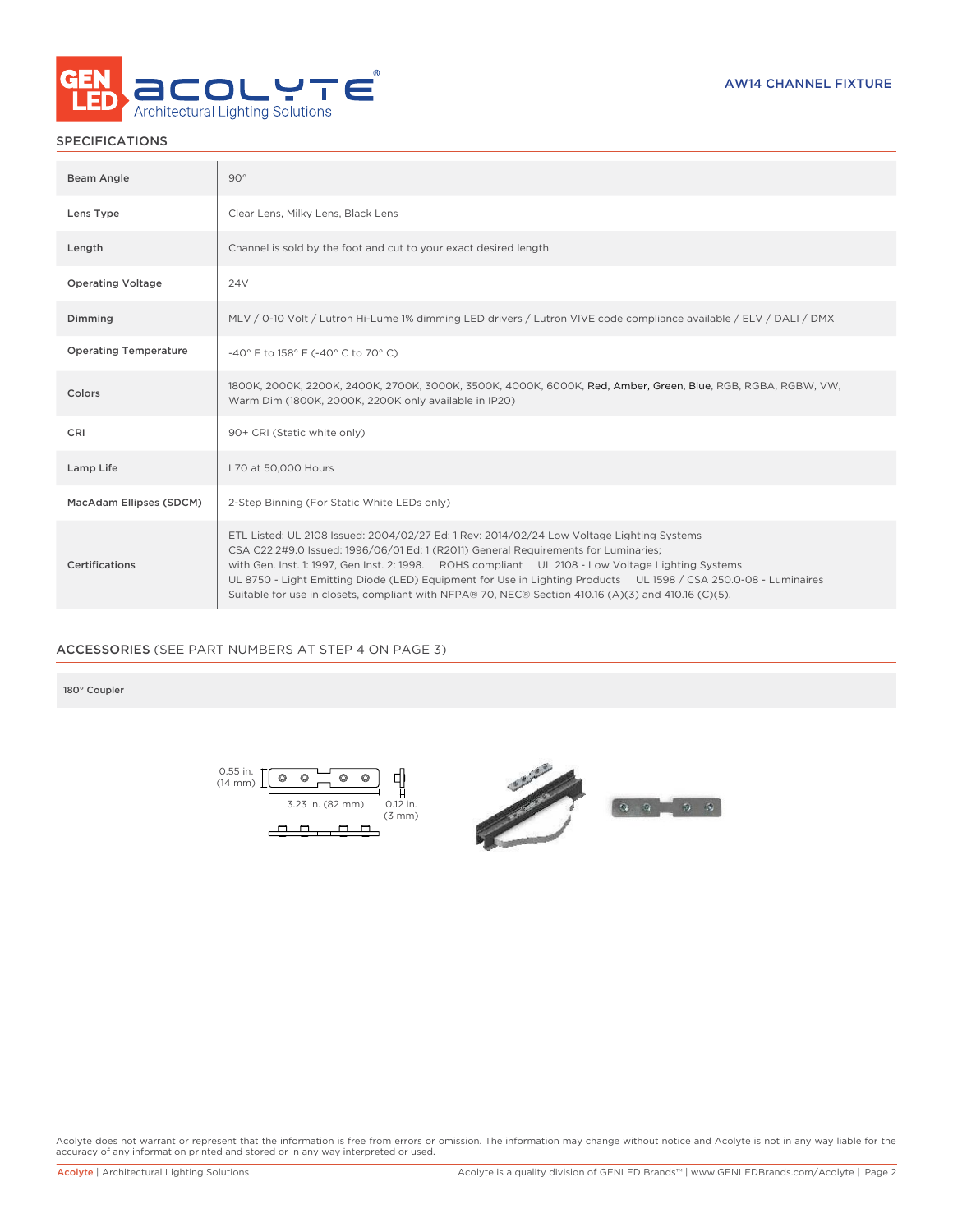

# SPECIFICATIONS

| Beam Angle                   | $90^{\circ}$                                                                                                                                                                                                                                                                                                                                                                                                                                                                                                    |
|------------------------------|-----------------------------------------------------------------------------------------------------------------------------------------------------------------------------------------------------------------------------------------------------------------------------------------------------------------------------------------------------------------------------------------------------------------------------------------------------------------------------------------------------------------|
| Lens Type                    | Clear Lens, Milky Lens, Black Lens                                                                                                                                                                                                                                                                                                                                                                                                                                                                              |
| Length                       | Channel is sold by the foot and cut to your exact desired length                                                                                                                                                                                                                                                                                                                                                                                                                                                |
| <b>Operating Voltage</b>     | 24 <sub>V</sub>                                                                                                                                                                                                                                                                                                                                                                                                                                                                                                 |
| Dimming                      | MLV / 0-10 Volt / Lutron Hi-Lume 1% dimming LED drivers / Lutron VIVE code compliance available / ELV / DALI / DMX                                                                                                                                                                                                                                                                                                                                                                                              |
| <b>Operating Temperature</b> | -40° F to 158° F (-40° C to 70° C)                                                                                                                                                                                                                                                                                                                                                                                                                                                                              |
| Colors                       | 1800K, 2000K, 2200K, 2400K, 2700K, 3000K, 3500K, 4000K, 6000K, Red, Amber, Green, Blue, RGB, RGBA, RGBW, VW,<br>Warm Dim (1800K, 2000K, 2200K only available in IP20)                                                                                                                                                                                                                                                                                                                                           |
| CRI                          | 90+ CRI (Static white only)                                                                                                                                                                                                                                                                                                                                                                                                                                                                                     |
| Lamp Life                    | L70 at 50,000 Hours                                                                                                                                                                                                                                                                                                                                                                                                                                                                                             |
| MacAdam Ellipses (SDCM)      | 2-Step Binning (For Static White LEDs only)                                                                                                                                                                                                                                                                                                                                                                                                                                                                     |
| Certifications               | ETL Listed: UL 2108 Issued: 2004/02/27 Ed: 1 Rev: 2014/02/24 Low Voltage Lighting Systems<br>CSA C22.2#9.0 Issued: 1996/06/01 Ed: 1 (R2011) General Requirements for Luminaries;<br>with Gen. Inst. 1: 1997, Gen Inst. 2: 1998. ROHS compliant UL 2108 - Low Voltage Lighting Systems<br>UL 8750 - Light Emitting Diode (LED) Equipment for Use in Lighting Products UL 1598 / CSA 250.0-08 - Luminaires<br>Suitable for use in closets, compliant with NFPA® 70, NEC® Section 410.16 (A)(3) and 410.16 (C)(5). |

# ACCESSORIES (SEE PART NUMBERS AT STEP 4 ON PAGE 3)

180° Coupler





Acolyte does not warrant or represent that the information is free from errors or omission. The information may change without notice and Acolyte is not in any way liable for the<br>accuracy of any information printed and sto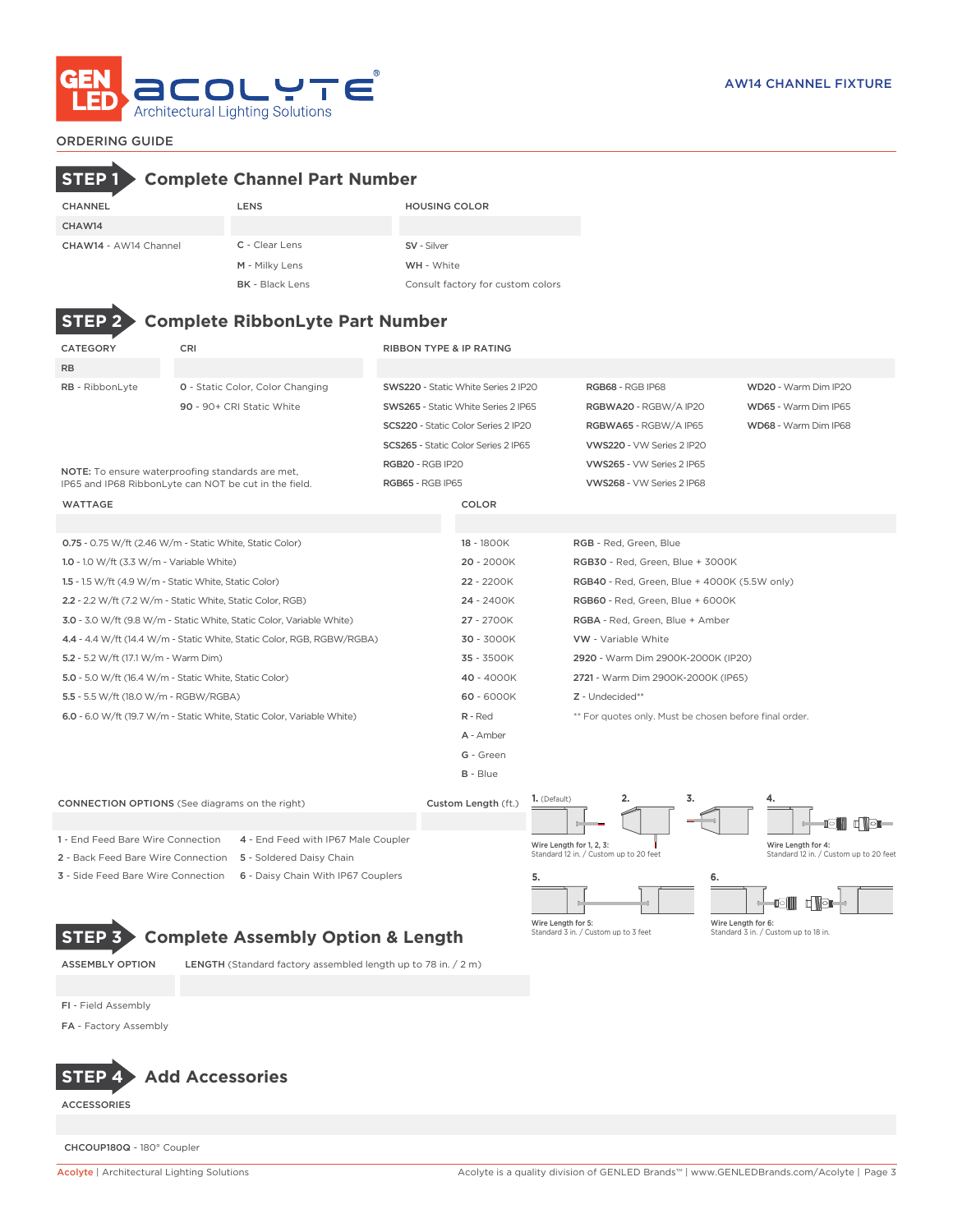

# ORDERING GUIDE

| <b>STEP</b>                                                |                                                                                                           | <b>Complete Channel Part Number</b>                                                 |                         |                                            |                                              |                                                        |                    |                                      |  |  |
|------------------------------------------------------------|-----------------------------------------------------------------------------------------------------------|-------------------------------------------------------------------------------------|-------------------------|--------------------------------------------|----------------------------------------------|--------------------------------------------------------|--------------------|--------------------------------------|--|--|
| <b>CHANNEL</b>                                             |                                                                                                           | LENS                                                                                |                         | <b>HOUSING COLOR</b>                       |                                              |                                                        |                    |                                      |  |  |
| CHAW14                                                     |                                                                                                           |                                                                                     |                         |                                            |                                              |                                                        |                    |                                      |  |  |
| CHAW14 - AW14 Channel                                      |                                                                                                           | C - Clear Lens                                                                      |                         | SV - Silver                                |                                              |                                                        |                    |                                      |  |  |
|                                                            |                                                                                                           | M - Milky Lens                                                                      |                         | WH - White                                 |                                              |                                                        |                    |                                      |  |  |
|                                                            |                                                                                                           | <b>BK</b> - Black Lens                                                              |                         | Consult factory for custom colors          |                                              |                                                        |                    |                                      |  |  |
| <b>STEP</b>                                                |                                                                                                           | <b>Complete RibbonLyte Part Number</b>                                              |                         |                                            |                                              |                                                        |                    |                                      |  |  |
| <b>CATEGORY</b>                                            | CRI                                                                                                       |                                                                                     |                         | <b>RIBBON TYPE &amp; IP RATING</b>         |                                              |                                                        |                    |                                      |  |  |
| <b>RB</b>                                                  |                                                                                                           |                                                                                     |                         |                                            |                                              |                                                        |                    |                                      |  |  |
| RB - RibbonLyte                                            |                                                                                                           | <b>0</b> - Static Color, Color Changing                                             |                         | SWS220 - Static White Series 2 IP20        |                                              | RGB68 - RGB IP68                                       |                    | WD20 - Warm Dim IP20                 |  |  |
|                                                            |                                                                                                           | 90 - 90+ CRI Static White                                                           |                         | <b>SWS265</b> - Static White Series 2 IP65 |                                              | RGBWA20 - RGBW/A IP20                                  |                    | WD65 - Warm Dim IP65                 |  |  |
|                                                            |                                                                                                           |                                                                                     |                         | <b>SCS220</b> - Static Color Series 2 IP20 |                                              | RGBWA65 - RGBW/A IP65                                  |                    | WD68 - Warm Dim IP68                 |  |  |
|                                                            |                                                                                                           |                                                                                     |                         | SCS265 - Static Color Series 2 IP65        |                                              | VWS220 - VW Series 2 IP20                              |                    |                                      |  |  |
|                                                            |                                                                                                           |                                                                                     | <b>RGB20 - RGB IP20</b> |                                            |                                              | VWS265 - VW Series 2 IP65                              |                    |                                      |  |  |
|                                                            | NOTE: To ensure waterproofing standards are met,<br>IP65 and IP68 RibbonLyte can NOT be cut in the field. |                                                                                     |                         | RGB65 - RGB IP65                           |                                              | VWS268 - VW Series 2 IP68                              |                    |                                      |  |  |
| <b>WATTAGE</b>                                             |                                                                                                           |                                                                                     |                         | <b>COLOR</b>                               |                                              |                                                        |                    |                                      |  |  |
|                                                            |                                                                                                           |                                                                                     |                         |                                            |                                              |                                                        |                    |                                      |  |  |
| 0.75 - 0.75 W/ft (2.46 W/m - Static White, Static Color)   |                                                                                                           |                                                                                     |                         | 18 - 1800K                                 |                                              | RGB - Red, Green, Blue                                 |                    |                                      |  |  |
| 1.0 - 1.0 W/ft (3.3 W/m - Variable White)                  |                                                                                                           |                                                                                     |                         | 20 - 2000K                                 | RGB30 - Red, Green, Blue + 3000K             |                                                        |                    |                                      |  |  |
| 1.5 - 1.5 W/ft (4.9 W/m - Static White, Static Color)      |                                                                                                           |                                                                                     |                         | 22 - 2200K                                 | RGB40 - Red, Green, Blue + 4000K (5.5W only) |                                                        |                    |                                      |  |  |
| 2.2 - 2.2 W/ft (7.2 W/m - Static White, Static Color, RGB) |                                                                                                           |                                                                                     |                         | 24 - 2400K                                 | RGB60 - Red, Green, Blue + 6000K             |                                                        |                    |                                      |  |  |
|                                                            |                                                                                                           | 3.0 - 3.0 W/ft (9.8 W/m - Static White, Static Color, Variable White)               |                         | 27 - 2700K                                 | RGBA - Red, Green, Blue + Amber              |                                                        |                    |                                      |  |  |
|                                                            |                                                                                                           | 4.4 - 4.4 W/ft (14.4 W/m - Static White, Static Color, RGB, RGBW/RGBA)              |                         | 30 - 3000K                                 | <b>VW</b> - Variable White                   |                                                        |                    |                                      |  |  |
| 5.2 - 5.2 W/ft (17.1 W/m - Warm Dim)                       |                                                                                                           |                                                                                     |                         | 35 - 3500K                                 | 2920 - Warm Dim 2900K-2000K (IP20)           |                                                        |                    |                                      |  |  |
| 5.0 - 5.0 W/ft (16.4 W/m - Static White, Static Color)     |                                                                                                           |                                                                                     |                         | 40 - 4000K                                 | 2721 - Warm Dim 2900K-2000K (IP65)           |                                                        |                    |                                      |  |  |
| 5.5 - 5.5 W/ft (18.0 W/m - RGBW/RGBA)                      |                                                                                                           |                                                                                     |                         | 60 - 6000K                                 | Z - Undecided**                              |                                                        |                    |                                      |  |  |
|                                                            |                                                                                                           | 6.0 - 6.0 W/ft (19.7 W/m - Static White, Static Color, Variable White)              |                         | R - Red                                    |                                              | ** For quotes only. Must be chosen before final order. |                    |                                      |  |  |
|                                                            |                                                                                                           |                                                                                     |                         | A - Amber                                  |                                              |                                                        |                    |                                      |  |  |
|                                                            |                                                                                                           |                                                                                     |                         | G - Green                                  |                                              |                                                        |                    |                                      |  |  |
|                                                            |                                                                                                           |                                                                                     |                         | B - Blue                                   |                                              |                                                        |                    |                                      |  |  |
| <b>CONNECTION OPTIONS</b> (See diagrams on the right)      |                                                                                                           |                                                                                     |                         | Custom Length (ft.)                        | 1. (Default)                                 | 2.                                                     | 3.                 | 4.<br>∎∣ll                           |  |  |
| 1 - End Feed Bare Wire Connection                          |                                                                                                           | 4 - End Feed with IP67 Male Coupler                                                 |                         |                                            | Wire Length for 1, 2, 3:                     |                                                        |                    | Wire Length for 4:                   |  |  |
|                                                            |                                                                                                           | 2 - Back Feed Bare Wire Connection 5 - Soldered Daisy Chain                         |                         |                                            |                                              | Standard 12 in. / Custom up to 20 feet                 |                    | Standard 12 in. / Custom up to 20 fe |  |  |
|                                                            |                                                                                                           | <b>3</b> - Side Feed Bare Wire Connection <b>6</b> - Daisy Chain With IP67 Couplers |                         |                                            | 5.                                           |                                                        | 6.                 |                                      |  |  |
| <b>STEP</b>                                                |                                                                                                           | <b>Complete Assembly Option &amp; Length</b>                                        |                         |                                            | Wire Length for 5:                           | Standard 3 in. / Custom up to 3 feet                   | Wire Length for 6: | Standard 3 in. / Custom up to 18 in. |  |  |
| <b>ASSEMBLY OPTION</b>                                     |                                                                                                           | LENGTH (Standard factory assembled length up to 78 in. / 2 m)                       |                         |                                            |                                              |                                                        |                    |                                      |  |  |

FI - Field Assembly

FA - Factory Assembly



ACCESSORIES

CHCOUP180Q - 180° Coupler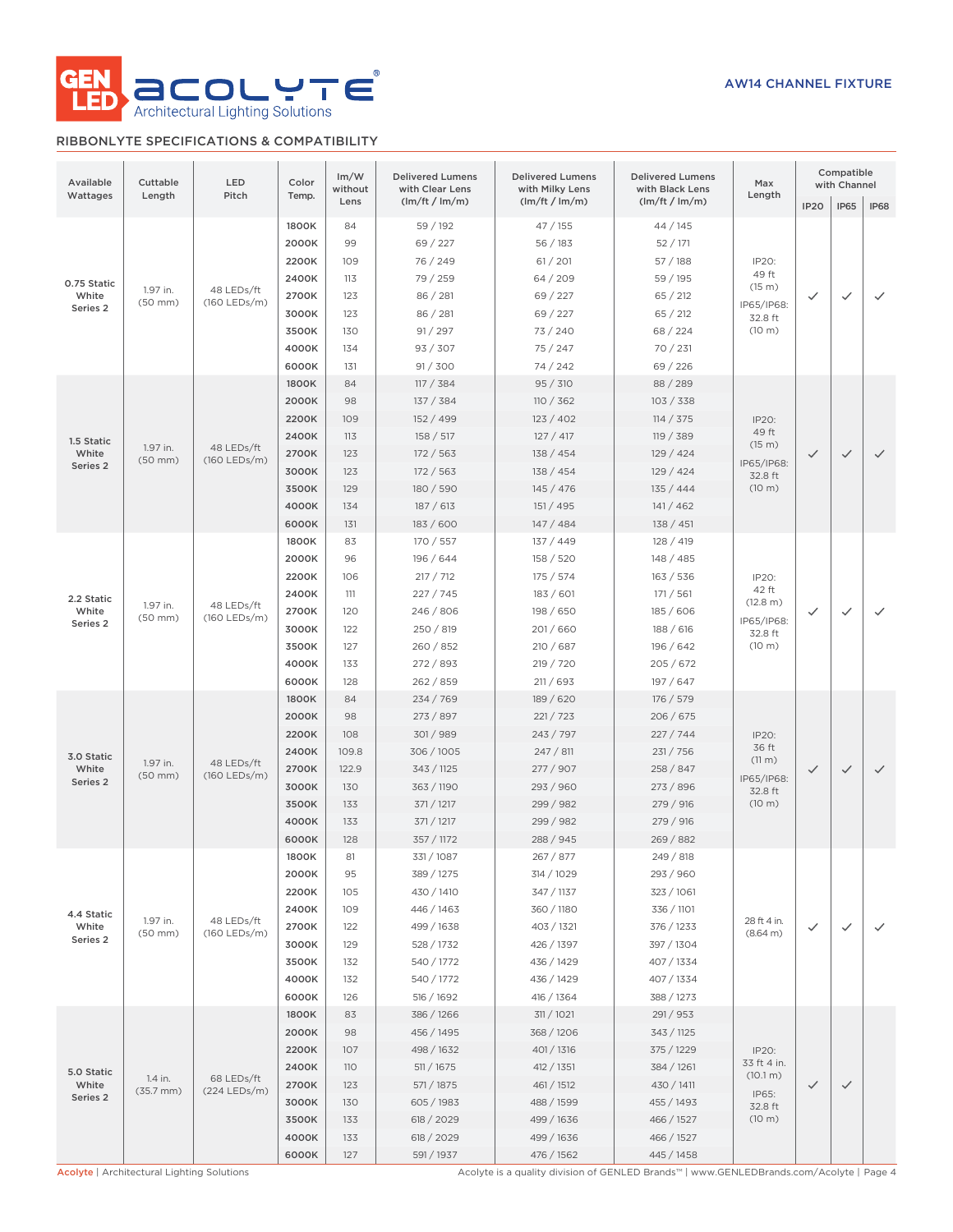

# RIBBONLYTE SPECIFICATIONS & COMPATIBILITY

| Available<br>Wattages                                       | Cuttable<br>Length       | LED<br>Pitch               | Color<br>Temp. | Im/W<br>without<br>Lens | <b>Delivered Lumens</b><br>with Clear Lens<br>(lm/ft / lm/m) | <b>Delivered Lumens</b><br>with Milky Lens<br>(lm/ft / lm/m) | <b>Delivered Lumens</b><br>with Black Lens<br>$\frac{1}{m}$ (lm/m) | Max<br>Length                                       |                        | Compatible<br>with Channel |                   |              |              |  |  |  |       |     |            |            |            |  |  |  |  |
|-------------------------------------------------------------|--------------------------|----------------------------|----------------|-------------------------|--------------------------------------------------------------|--------------------------------------------------------------|--------------------------------------------------------------------|-----------------------------------------------------|------------------------|----------------------------|-------------------|--------------|--------------|--|--|--|-------|-----|------------|------------|------------|--|--|--|--|
|                                                             |                          |                            |                |                         |                                                              |                                                              |                                                                    |                                                     | IP <sub>20</sub>       | <b>IP65</b>                | <b>IP68</b>       |              |              |  |  |  |       |     |            |            |            |  |  |  |  |
|                                                             |                          |                            | 1800K<br>2000K | 84<br>99                | 59 / 192<br>69 / 227                                         | 47 / 155<br>56/183                                           | 44/145<br>52/171                                                   |                                                     |                        |                            |                   |              |              |  |  |  |       |     |            |            |            |  |  |  |  |
|                                                             |                          |                            | 2200K          | 109                     | 76 / 249                                                     | 61 / 201                                                     | 57/188                                                             |                                                     |                        |                            |                   |              |              |  |  |  |       |     |            |            |            |  |  |  |  |
|                                                             |                          |                            | 2400K          | 113                     | 79 / 259                                                     | 64/209                                                       | 59/195                                                             | IP20:<br>49 ft                                      |                        |                            |                   |              |              |  |  |  |       |     |            |            |            |  |  |  |  |
| 0.75 Static<br>White                                        | 1.97 in.                 | 48 LEDs/ft<br>(160 LEDs/m) |                |                         | 2700K                                                        | 123                                                          | 86 / 281                                                           | 69 / 227                                            | 65 / 212               | (15 m)                     | $\checkmark$      | $\checkmark$ | $\checkmark$ |  |  |  |       |     |            |            |            |  |  |  |  |
| Series <sub>2</sub>                                         | $(50$ mm $)$             |                            |                |                         | 3000K                                                        | 123                                                          | 86 / 281                                                           | 69 / 227                                            | 65 / 212               | IP65/IP68:                 |                   |              |              |  |  |  |       |     |            |            |            |  |  |  |  |
|                                                             |                          |                            |                |                         |                                                              | 3500K                                                        | 130                                                                | 91 / 297                                            | 73 / 240               | 68 / 224                   | 32.8 ft<br>(10 m) |              |              |  |  |  |       |     |            |            |            |  |  |  |  |
|                                                             |                          |                            |                |                         |                                                              |                                                              | 4000K                                                              | 134                                                 | 93 / 307               | 75 / 247                   | 70 / 231          |              |              |  |  |  |       |     |            |            |            |  |  |  |  |
|                                                             |                          |                            | 6000K          | 131                     | 91 / 300                                                     | 74/242                                                       | 69 / 226                                                           |                                                     |                        |                            |                   |              |              |  |  |  |       |     |            |            |            |  |  |  |  |
|                                                             |                          |                            | 1800K          | 84                      | 117 / 384                                                    | 95 / 310                                                     | 88 / 289                                                           |                                                     |                        |                            |                   |              |              |  |  |  |       |     |            |            |            |  |  |  |  |
|                                                             |                          |                            | 2000K          | 98                      | 137 / 384                                                    | 110 / 362                                                    | 103 / 338                                                          |                                                     |                        |                            |                   |              |              |  |  |  |       |     |            |            |            |  |  |  |  |
|                                                             |                          |                            | 2200K          | 109                     | 152 / 499                                                    | 123 / 402                                                    | 114 / 375                                                          | IP20:                                               |                        |                            |                   |              |              |  |  |  |       |     |            |            |            |  |  |  |  |
| 1.5 Static                                                  |                          |                            | 2400K          | 113                     | 158 / 517                                                    | 127/417                                                      | 119 / 389                                                          | 49 ft                                               |                        |                            |                   |              |              |  |  |  |       |     |            |            |            |  |  |  |  |
| White<br>Series 2                                           | 1.97 in.<br>$(50$ mm $)$ | 48 LEDs/ft<br>(160 LEDs/m) | 2700K          | 123                     | 172/563                                                      | 138 / 454                                                    | 129/424                                                            | (15 m)                                              | $\checkmark$           | $\checkmark$               | $\checkmark$      |              |              |  |  |  |       |     |            |            |            |  |  |  |  |
|                                                             |                          |                            | 3000K          | 123                     | 172 / 563                                                    | 138 / 454                                                    | 129/424                                                            | IP65/IP68:<br>32.8 ft                               |                        |                            |                   |              |              |  |  |  |       |     |            |            |            |  |  |  |  |
|                                                             |                          |                            | 3500K          | 129                     | 180 / 590                                                    | 145/476                                                      | 135 / 444                                                          | $(10 \text{ m})$                                    |                        |                            |                   |              |              |  |  |  |       |     |            |            |            |  |  |  |  |
|                                                             |                          |                            | 4000K          | 134                     | 187/613                                                      | 151 / 495                                                    | 141/462                                                            |                                                     |                        |                            |                   |              |              |  |  |  |       |     |            |            |            |  |  |  |  |
|                                                             |                          |                            | 6000K          | 131                     | 183 / 600                                                    | 147/484                                                      | 138 / 451                                                          |                                                     |                        |                            |                   |              |              |  |  |  |       |     |            |            |            |  |  |  |  |
|                                                             |                          |                            | 1800K          | 83                      | 170 / 557                                                    | 137 / 449                                                    | 128 / 419                                                          |                                                     |                        |                            |                   |              |              |  |  |  |       |     |            |            |            |  |  |  |  |
| 2.2 Static<br>1.97 in.<br>White<br>$(50$ mm $)$<br>Series 2 |                          |                            | 2000K          | 96                      | 196 / 644                                                    | 158 / 520                                                    | 148 / 485                                                          |                                                     |                        |                            |                   |              |              |  |  |  |       |     |            |            |            |  |  |  |  |
|                                                             |                          | 48 LEDs/ft<br>(160 LEDs/m) | 2200K          | 106                     | 217 / 712                                                    | 175/574                                                      | 163 / 536                                                          | IP20:<br>42 ft<br>(12.8 m)<br>IP65/IP68:<br>32.8 ft |                        |                            |                   |              |              |  |  |  |       |     |            |            |            |  |  |  |  |
|                                                             |                          |                            | 2400K          | 111                     | 227/745                                                      | 183 / 601                                                    | 171 / 561                                                          |                                                     |                        |                            |                   |              |              |  |  |  |       |     |            |            |            |  |  |  |  |
|                                                             |                          |                            | 2700K          | 120                     | 246 / 806                                                    | 198 / 650                                                    | 185 / 606                                                          |                                                     | $\checkmark$           | $\checkmark$               | $\checkmark$      |              |              |  |  |  |       |     |            |            |            |  |  |  |  |
|                                                             |                          |                            | 3000K          | 122                     | 250 / 819                                                    | 201/660                                                      | 188 / 616                                                          |                                                     |                        |                            |                   |              |              |  |  |  |       |     |            |            |            |  |  |  |  |
|                                                             |                          |                            | 3500K          | 127                     | 260 / 852                                                    | 210/687                                                      | 196 / 642                                                          | (10 m)                                              |                        |                            |                   |              |              |  |  |  |       |     |            |            |            |  |  |  |  |
|                                                             |                          |                            | 4000K          | 133                     | 272 / 893                                                    | 219 / 720                                                    | 205/672                                                            |                                                     |                        |                            |                   |              |              |  |  |  |       |     |            |            |            |  |  |  |  |
|                                                             |                          |                            | 6000K          | 128                     | 262 / 859                                                    | 211 / 693                                                    | 197 / 647                                                          |                                                     |                        |                            |                   |              |              |  |  |  |       |     |            |            |            |  |  |  |  |
|                                                             |                          | 48 LEDs/ft<br>(160 LEDs/m) | 1800K          | 84                      | 234/769                                                      | 189 / 620                                                    | 176 / 579                                                          |                                                     |                        |                            |                   |              |              |  |  |  |       |     |            |            |            |  |  |  |  |
|                                                             |                          |                            | 2000K          | 98                      | 273 / 897                                                    | 221 / 723                                                    | 206 / 675                                                          |                                                     |                        |                            |                   |              |              |  |  |  |       |     |            |            |            |  |  |  |  |
|                                                             | 1.97 in.<br>$(50$ mm $)$ |                            |                | 2200K                   | 108<br>301/989                                               | 243 / 797                                                    | 227/744                                                            | IP20:<br>36 ft                                      |                        |                            |                   |              |              |  |  |  |       |     |            |            |            |  |  |  |  |
| 3.0 Static                                                  |                          |                            | 2400K          | 109.8                   | 306 / 1005                                                   | 247 / 811                                                    | 231/756                                                            | (11 m)                                              |                        |                            |                   |              |              |  |  |  |       |     |            |            |            |  |  |  |  |
| White<br>Series 2                                           |                          |                            | 2700K          | 122.9                   | 343 / 1125                                                   | 277 / 907                                                    | 258 / 847                                                          | IP65/IP68:                                          | $\checkmark$           | $\checkmark$               | $\checkmark$      |              |              |  |  |  |       |     |            |            |            |  |  |  |  |
|                                                             |                          |                            | 3000K          | 130                     | 363 / 1190                                                   | 293 / 960                                                    | 273 / 896                                                          | 32.8 ft                                             |                        |                            |                   |              |              |  |  |  |       |     |            |            |            |  |  |  |  |
|                                                             |                          |                            | 3500K          | 133                     | 371 / 1217                                                   | 299 / 982                                                    | 279 / 916                                                          | (10 m)                                              |                        |                            |                   |              |              |  |  |  |       |     |            |            |            |  |  |  |  |
|                                                             |                          |                            | 4000K          | 133                     | 371 / 1217                                                   | 299 / 982                                                    | 279 / 916                                                          |                                                     |                        |                            |                   |              |              |  |  |  |       |     |            |            |            |  |  |  |  |
|                                                             |                          |                            | 6000K          | 128                     | 357 / 1172                                                   | 288 / 945                                                    | 269 / 882                                                          |                                                     |                        |                            |                   |              |              |  |  |  |       |     |            |            |            |  |  |  |  |
|                                                             |                          |                            |                |                         | 1800K<br>2000K                                               | 81<br>95                                                     | 331/1087<br>389 / 1275                                             | 267 / 877<br>314 / 1029                             | 249 / 818<br>293 / 960 |                            |                   |              |              |  |  |  |       |     |            |            |            |  |  |  |  |
|                                                             |                          |                            | 2200K          | 105                     | 430 / 1410                                                   | 347 / 1137                                                   | 323 / 1061                                                         |                                                     |                        |                            |                   |              |              |  |  |  |       |     |            |            |            |  |  |  |  |
|                                                             |                          |                            | 2400K          | 109                     | 446 / 1463                                                   | 360 / 1180                                                   | 336 / 1101                                                         |                                                     |                        |                            |                   |              |              |  |  |  |       |     |            |            |            |  |  |  |  |
| 4.4 Static<br>White                                         | 1.97 in.                 | 48 LEDs/ft                 | 2700K          | 122                     | 499 / 1638                                                   | 403 / 1321                                                   | 376 / 1233                                                         | 28 ft 4 in.                                         | $\checkmark$           | $\checkmark$               | $\checkmark$      |              |              |  |  |  |       |     |            |            |            |  |  |  |  |
| Series 2                                                    | $(50$ mm $)$             | (160 LEDs/m)               | 3000K          | 129                     | 528 / 1732                                                   | 426 / 1397                                                   | 397 / 1304                                                         | (8.64 m)                                            |                        |                            |                   |              |              |  |  |  |       |     |            |            |            |  |  |  |  |
|                                                             |                          |                            | 3500K          | 132                     | 540 / 1772                                                   | 436 / 1429                                                   | 407 / 1334                                                         |                                                     |                        |                            |                   |              |              |  |  |  |       |     |            |            |            |  |  |  |  |
|                                                             |                          |                            | 4000K          | 132                     | 540 / 1772                                                   | 436 / 1429                                                   | 407 / 1334                                                         |                                                     |                        |                            |                   |              |              |  |  |  |       |     |            |            |            |  |  |  |  |
|                                                             |                          |                            | 6000K          | 126                     | 516 / 1692                                                   | 416 / 1364                                                   | 388 / 1273                                                         |                                                     |                        |                            |                   |              |              |  |  |  |       |     |            |            |            |  |  |  |  |
|                                                             |                          |                            | 1800K          | 83                      | 386 / 1266                                                   | 311 / 1021                                                   | 291 / 953                                                          |                                                     |                        |                            |                   |              |              |  |  |  |       |     |            |            |            |  |  |  |  |
|                                                             |                          |                            | 2000K          | 98                      | 456 / 1495                                                   | 368 / 1206                                                   | 343 / 1125                                                         |                                                     |                        |                            |                   |              |              |  |  |  |       |     |            |            |            |  |  |  |  |
|                                                             |                          |                            | 2200K          | 107                     | 498 / 1632                                                   | 401 / 1316                                                   | 375 / 1229                                                         | IP20:                                               |                        |                            |                   |              |              |  |  |  |       |     |            |            |            |  |  |  |  |
|                                                             |                          |                            | 2400K          | 110                     | 511 / 1675                                                   | 412 / 1351                                                   | 384 / 1261                                                         | 33 ft 4 in.                                         |                        |                            |                   |              |              |  |  |  |       |     |            |            |            |  |  |  |  |
| 5.0 Static<br>White                                         | 1.4 in.                  | 68 LEDs/ft                 | 2700K          | 123                     | 571 / 1875                                                   | 461 / 1512                                                   | 430 / 1411                                                         | (10.1 m)                                            | $\checkmark$           | $\checkmark$               |                   |              |              |  |  |  |       |     |            |            |            |  |  |  |  |
| Series 2                                                    | $(35.7$ mm $)$           | (224 LEDs/m)               | 3000K          | 130                     | 605 / 1983                                                   | 488 / 1599                                                   | 455 / 1493                                                         | IP65:<br>32.8 ft                                    |                        |                            |                   |              |              |  |  |  |       |     |            |            |            |  |  |  |  |
|                                                             |                          |                            | 3500K          | 133                     | 618 / 2029                                                   | 499 / 1636                                                   | 466 / 1527                                                         | (10 m)                                              |                        |                            |                   |              |              |  |  |  |       |     |            |            |            |  |  |  |  |
|                                                             |                          |                            |                |                         |                                                              |                                                              |                                                                    |                                                     |                        |                            |                   |              |              |  |  |  | 4000K | 133 | 618 / 2029 | 499 / 1636 | 466 / 1527 |  |  |  |  |
|                                                             |                          |                            | 6000K          | 127                     | 591 / 1937                                                   | 476 / 1562                                                   | 445 / 1458                                                         |                                                     |                        |                            |                   |              |              |  |  |  |       |     |            |            |            |  |  |  |  |
|                                                             |                          |                            |                |                         |                                                              |                                                              |                                                                    |                                                     |                        |                            |                   |              |              |  |  |  |       |     |            |            |            |  |  |  |  |

Acolyte | Architectural Lighting Solutions 
<br>
Acolyte is a quality division of GENLED Brands™ | www.GENLEDBrands.com/Acolyte | Page 4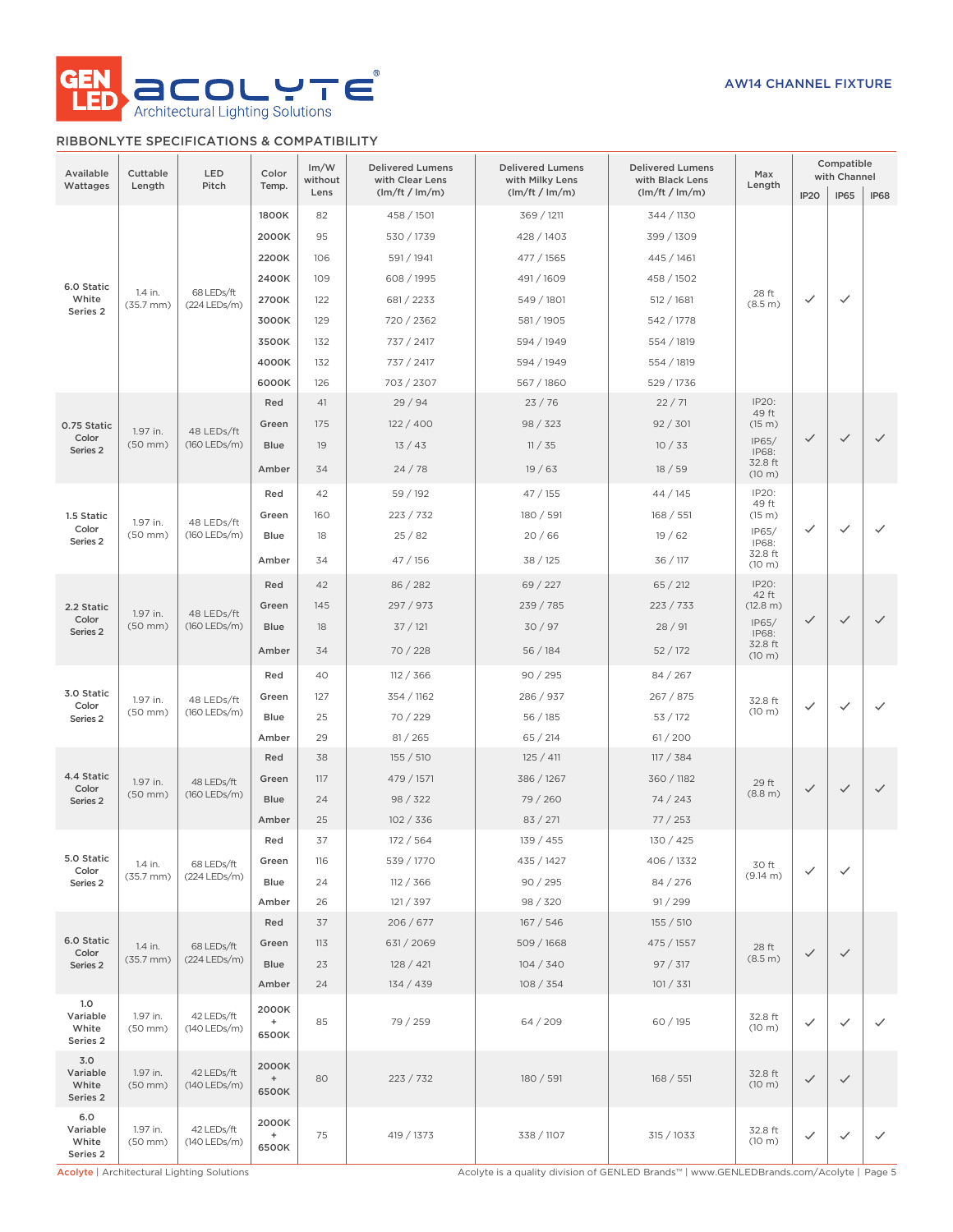

# RIBBONLYTE SPECIFICATIONS & COMPATIBILITY

| Available<br>Cuttable<br>Wattages<br>Length |                                  | LED<br>Pitch               | Color<br>Temp.                                     | Im/W<br>without<br>Lens | <b>Delivered Lumens</b><br>with Clear Lens<br>(lm/ft / lm/m) | <b>Delivered Lumens</b><br>with Milky Lens<br>(lm/ft / lm/m) | <b>Delivered Lumens</b><br>with Black Lens<br>(lm/ft / lm/m) | Max<br>Length     | IP <sub>20</sub> |                                                                                                                                                               | <b>IP68</b>  |          |                   |              |  |  |
|---------------------------------------------|----------------------------------|----------------------------|----------------------------------------------------|-------------------------|--------------------------------------------------------------|--------------------------------------------------------------|--------------------------------------------------------------|-------------------|------------------|---------------------------------------------------------------------------------------------------------------------------------------------------------------|--------------|----------|-------------------|--------------|--|--|
|                                             |                                  |                            | 1800K                                              | 82                      | 458 / 1501                                                   | 369 / 1211                                                   | 344 / 1130                                                   |                   |                  |                                                                                                                                                               |              |          |                   |              |  |  |
|                                             |                                  |                            | 2000K                                              | 95                      | 530 / 1739                                                   | 428 / 1403                                                   | 399 / 1309                                                   |                   |                  |                                                                                                                                                               |              |          |                   |              |  |  |
|                                             |                                  |                            | 2200K                                              | 106                     | 591 / 1941                                                   | 477 / 1565                                                   | 445 / 1461                                                   |                   |                  |                                                                                                                                                               |              |          |                   |              |  |  |
|                                             |                                  |                            | 2400K                                              | 109                     | 608 / 1995                                                   | 491 / 1609                                                   | 458 / 1502                                                   |                   |                  |                                                                                                                                                               |              |          |                   |              |  |  |
| 6.0 Static<br>White                         | 1.4 in.                          | 68 LEDs/ft                 | 2700K                                              | 122                     |                                                              |                                                              |                                                              | 28 ft             | ✓                |                                                                                                                                                               |              |          |                   |              |  |  |
| Series <sub>2</sub>                         | $(35.7 \, \text{mm})$            | (224 LEDs/m)               | 3000K                                              |                         | 681 / 2233                                                   | 549 / 1801                                                   | 512 / 1681                                                   | (8.5 m)           |                  |                                                                                                                                                               |              |          |                   |              |  |  |
|                                             |                                  |                            |                                                    |                         | 3500K                                                        | 129                                                          | 720 / 2362                                                   | 581 / 1905        | 542 / 1778       |                                                                                                                                                               |              |          |                   |              |  |  |
|                                             |                                  |                            | 4000K                                              | 132                     | 737 / 2417                                                   | 594 / 1949                                                   | 554 / 1819                                                   |                   |                  |                                                                                                                                                               |              |          |                   |              |  |  |
|                                             |                                  |                            | 6000K                                              | 132<br>126              | 737 / 2417<br>703 / 2307                                     | 594 / 1949<br>567 / 1860                                     | 554 / 1819<br>529 / 1736                                     |                   |                  |                                                                                                                                                               |              |          |                   |              |  |  |
|                                             |                                  |                            | Red                                                | 41                      | 29/94                                                        | 23/76                                                        | 22/71                                                        | IP20:             |                  |                                                                                                                                                               |              |          |                   |              |  |  |
|                                             |                                  |                            | Green                                              | 175                     | 122/400                                                      | 98 / 323                                                     | 92 / 301                                                     | 49 ft<br>(15 m)   |                  |                                                                                                                                                               |              |          |                   |              |  |  |
| 0.75 Static<br>Color                        | 1.97 in.<br>$(50$ mm $)$         | 48 LEDs/ft<br>(160 LEDs/m) | <b>Blue</b>                                        | 19                      | 13/43                                                        | 11 / 35                                                      | 10/33                                                        | IP65/             | $\checkmark$     | $\checkmark$                                                                                                                                                  | $\checkmark$ |          |                   |              |  |  |
| Series <sub>2</sub>                         |                                  |                            |                                                    |                         |                                                              |                                                              |                                                              | IP68:<br>32.8 ft  |                  |                                                                                                                                                               |              |          |                   |              |  |  |
|                                             |                                  |                            | Amber                                              | 34                      | 24/78                                                        | 19/63                                                        | 18/59                                                        | (10 m)            |                  | Compatible<br>with Channel<br><b>IP65</b><br>✓<br>✓<br>$\checkmark$<br>✓<br>$\checkmark$<br>✓<br>$\checkmark$<br>$\checkmark$<br>$\checkmark$<br>$\checkmark$ |              |          |                   |              |  |  |
|                                             |                                  |                            | Red                                                | 42                      | 59 / 192                                                     | 47 / 155                                                     | 44 / 145                                                     | IP20:<br>49 ft    |                  |                                                                                                                                                               |              |          |                   |              |  |  |
| 1.5 Static<br>Color                         | 1.97 in.                         | 48 LEDs/ft                 | Green                                              | 160                     | 223 / 732                                                    | 180 / 591                                                    | 168 / 551                                                    | (15 m)            |                  |                                                                                                                                                               | $\checkmark$ |          |                   |              |  |  |
| Series 2                                    | $(50$ mm $)$                     | (160 LEDs/m)               | <b>Blue</b>                                        | 18                      | 25/82                                                        | 20/66                                                        | 19/62                                                        | IP65/<br>IP68:    | $\checkmark$     |                                                                                                                                                               |              |          |                   |              |  |  |
|                                             |                                  |                            | Amber                                              | 34                      | 47 / 156                                                     | 38/125                                                       | 36/117                                                       | 32.8 ft<br>(10 m) |                  |                                                                                                                                                               |              |          |                   |              |  |  |
|                                             |                                  |                            | Red                                                | 42                      | 86 / 282                                                     | 69 / 227                                                     | 65 / 212                                                     | IP20:             |                  |                                                                                                                                                               |              |          |                   |              |  |  |
| 2.2 Static<br>Color<br>Series <sub>2</sub>  |                                  | 48 LEDs/ft                 | Green                                              | 145                     | 297 / 973                                                    | 239 / 785                                                    | 223 / 733                                                    | 42 ft<br>(12.8 m) |                  |                                                                                                                                                               |              |          |                   |              |  |  |
|                                             | 1.97 in.<br>$(50$ mm $)$         | (160 LEDs/m)               | <b>Blue</b>                                        | 18                      | 37/121                                                       | 30/97                                                        | 28/91                                                        | IP65/<br>IP68:    | $\checkmark$     |                                                                                                                                                               | $\checkmark$ |          |                   |              |  |  |
|                                             |                                  |                            | Amber                                              | 34                      | 70/228                                                       | 56/184                                                       | 52/172                                                       | 32.8 ft           |                  |                                                                                                                                                               |              |          |                   |              |  |  |
|                                             |                                  |                            | Red                                                | 40                      | 112 / 366                                                    | 90/295                                                       | 84 / 267                                                     | (10 m)            |                  |                                                                                                                                                               |              |          |                   |              |  |  |
| 3.0 Static                                  |                                  |                            | Green                                              | 127                     | 354 / 1162                                                   | 286 / 937                                                    | 267 / 875                                                    |                   |                  |                                                                                                                                                               |              |          |                   |              |  |  |
| Color<br>Series <sub>2</sub>                | 1.97 in.<br>$(50$ mm $)$         | (160 LEDs/m)               |                                                    |                         |                                                              |                                                              | 48 LEDs/ft                                                   | Blue              | 25               | 70 / 229                                                                                                                                                      | 56/185       | 53 / 172 | 32.8 ft<br>(10 m) | $\checkmark$ |  |  |
|                                             |                                  |                            | Amber                                              | 29                      | 81 / 265                                                     | 65/214                                                       | 61/200                                                       |                   |                  |                                                                                                                                                               |              |          |                   |              |  |  |
|                                             |                                  |                            | Red                                                | 38                      | 155 / 510                                                    | 125 / 411                                                    | 117 / 384                                                    |                   |                  |                                                                                                                                                               |              |          |                   |              |  |  |
| 4.4 Static                                  |                                  |                            | Green                                              | 117                     | 479 / 1571                                                   | 386 / 1267                                                   | 360 / 1182                                                   |                   |                  |                                                                                                                                                               |              |          |                   |              |  |  |
| Color<br>Series 2                           | 1.97 in.<br>$(50$ mm $)$         | 48 LEDs/ft<br>(160 LEDs/m) | <b>Blue</b>                                        | 24                      | 98 / 322                                                     | 79 / 260                                                     | 74/243                                                       | 29 ft<br>(8.8 m)  | $\checkmark$     |                                                                                                                                                               | $\checkmark$ |          |                   |              |  |  |
|                                             |                                  |                            | Amber                                              | 25                      | 102 / 336                                                    | 83 / 271                                                     | 77/253                                                       |                   |                  |                                                                                                                                                               |              |          |                   |              |  |  |
|                                             |                                  |                            | Red                                                | 37                      | 172/564                                                      | 139 / 455                                                    | 130 / 425                                                    |                   |                  |                                                                                                                                                               |              |          |                   |              |  |  |
| 5.0 Static                                  |                                  | 68 LEDs/ft                 | Green                                              | 116                     | 539 / 1770                                                   | 435 / 1427                                                   | 406 / 1332                                                   |                   |                  |                                                                                                                                                               |              |          |                   |              |  |  |
| Color<br>Series <sub>2</sub>                | 1.4 in.<br>$(35.7 \, \text{mm})$ | (224 LEDs/m)               | Blue                                               | 24                      | 112 / 366                                                    | 90 / 295                                                     | 84 / 276                                                     | 30 ft<br>(9.14 m) | ✓                |                                                                                                                                                               |              |          |                   |              |  |  |
|                                             |                                  |                            | Amber                                              | 26                      | 121 / 397                                                    | 98 / 320                                                     | 91 / 299                                                     |                   |                  |                                                                                                                                                               |              |          |                   |              |  |  |
|                                             |                                  |                            | Red                                                | 37                      | 206/677                                                      | 167/546                                                      | 155 / 510                                                    |                   |                  |                                                                                                                                                               |              |          |                   |              |  |  |
| 6.0 Static                                  | 1.4 in.                          | 68 LEDs/ft                 | Green                                              | 113                     | 631 / 2069                                                   | 509 / 1668                                                   | 475 / 1557                                                   | 28 ft             |                  |                                                                                                                                                               |              |          |                   |              |  |  |
| Color<br>Series 2                           | $(35.7 \, \text{mm})$            | (224 LEDs/m)               | <b>Blue</b>                                        | 23                      | 128 / 421                                                    | 104 / 340                                                    | 97 / 317                                                     | (8.5 m)           | $\checkmark$     |                                                                                                                                                               |              |          |                   |              |  |  |
|                                             |                                  |                            | Amber                                              | 24                      | 134 / 439                                                    | 108 / 354                                                    | 101 / 331                                                    |                   |                  |                                                                                                                                                               |              |          |                   |              |  |  |
| 1.0<br>Variable<br>White<br>Series 2        | 1.97 in.<br>$(50$ mm $)$         | 42 LEDs/ft<br>(140 LEDs/m) | 2000K<br>$\begin{array}{c} + \end{array}$<br>6500K | 85                      | 79 / 259                                                     | 64/209                                                       | 60 / 195                                                     | 32.8 ft<br>(10 m) | $\checkmark$     |                                                                                                                                                               | $\checkmark$ |          |                   |              |  |  |
| 3.0<br>Variable<br>White<br>Series 2        | 1.97 in.<br>$(50$ mm $)$         | 42 LEDs/ft<br>(140 LEDs/m) | 2000K<br>$\begin{array}{c} + \end{array}$<br>6500K | 80                      | 223 / 732                                                    | 180 / 591                                                    | 168 / 551                                                    | 32.8 ft<br>(10 m) | $\checkmark$     |                                                                                                                                                               |              |          |                   |              |  |  |
| 6.0<br>Variable<br>White<br>Series 2        | 1.97 in.<br>$(50$ mm $)$         | 42 LEDs/ft<br>(140 LEDs/m) | 2000K<br>$\begin{array}{c} + \end{array}$<br>6500K | 75                      | 419 / 1373                                                   | 338 / 1107                                                   | 315 / 1033                                                   | 32.8 ft<br>(10 m) | $\checkmark$     |                                                                                                                                                               | $\checkmark$ |          |                   |              |  |  |

Acolyte | Architectural Lighting Solutions Acolyte is a quality division of GENLED Brands™ | www.GENLEDBrands.com/Acolyte | Page 5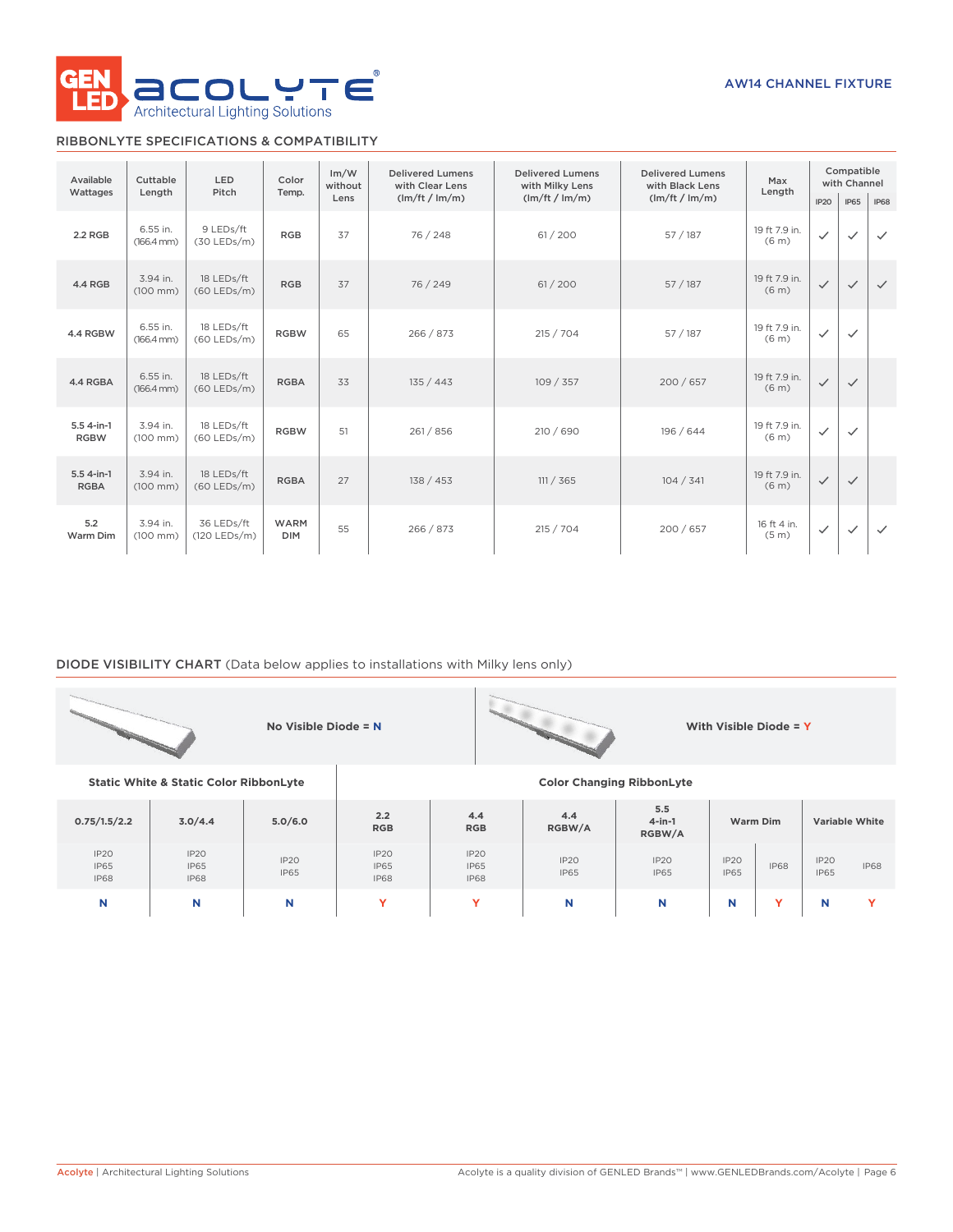

# RIBBONLYTE SPECIFICATIONS & COMPATIBILITY

| Available                   | Cuttable                           | <b>LED</b>                  | Color                     | Im/W<br>without | <b>Delivered Lumens</b><br>with Clear Lens | <b>Delivered Lumens</b><br>with Milky Lens | <b>Delivered Lumens</b><br>with Black Lens | Max                                | Compatible<br>with Channel |              |              |
|-----------------------------|------------------------------------|-----------------------------|---------------------------|-----------------|--------------------------------------------|--------------------------------------------|--------------------------------------------|------------------------------------|----------------------------|--------------|--------------|
| Wattages                    | Length                             | Pitch                       | Temp.                     | Lens            | (lm/ft / lm/m)                             | (lm/ft / lm/m)                             | (lm/ft / lm/m)                             | Length                             | IP <sub>20</sub>           | <b>IP65</b>  | <b>IP68</b>  |
| 2.2 RGB                     | 6.55 in.<br>$(166.4 \, \text{mm})$ | 9 LEDs/ft<br>$(30$ LEDs/m)  | <b>RGB</b>                | 37              | 76 / 248                                   | 61/200                                     | 57/187                                     | 19 ft 7.9 in.<br>(6 <sub>m</sub> ) | $\checkmark$               | $\checkmark$ | $\checkmark$ |
| 4.4 RGB                     | 3.94 in.<br>$(100$ mm $)$          | 18 LEDs/ft<br>$(60$ LEDs/m) | <b>RGB</b>                | 37              | 76 / 249                                   | 61 / 200                                   | 57/187                                     | 19 ft 7.9 in.<br>(6 <sub>m</sub> ) | $\checkmark$               | $\checkmark$ | $\checkmark$ |
| 4.4 RGBW                    | 6.55 in.<br>$(166.4 \, \text{mm})$ | 18 LEDs/ft<br>$(60$ LEDs/m) | <b>RGBW</b>               | 65              | 266 / 873                                  | 215 / 704                                  | 57/187                                     | 19 ft 7.9 in.<br>(6 <sub>m</sub> ) | $\checkmark$               | $\checkmark$ |              |
| 4.4 RGBA                    | 6.55 in.<br>$(166.4 \, \text{mm})$ | 18 LEDs/ft<br>$(60$ LEDs/m) | <b>RGBA</b>               | 33              | 135 / 443                                  | 109 / 357                                  | 200 / 657                                  | 19 ft 7.9 in.<br>(6 <sub>m</sub> ) | $\checkmark$               | $\checkmark$ |              |
| $5.54-in-1$<br><b>RGBW</b>  | 3.94 in.<br>$(100$ mm)             | 18 LEDs/ft<br>$(60$ LEDs/m) | <b>RGBW</b>               | 51              | 261 / 856                                  | 210 / 690                                  | 196 / 644                                  | 19 ft 7.9 in.<br>(6 <sub>m</sub> ) | $\checkmark$               | $\checkmark$ |              |
| $5.54$ -in-1<br><b>RGBA</b> | 3.94 in.<br>$(100 \, \text{mm})$   | 18 LEDs/ft<br>$(60$ LEDs/m) | <b>RGBA</b>               | 27              | 138 / 453                                  | 111 / 365                                  | 104 / 341                                  | 19 ft 7.9 in.<br>(6 <sub>m</sub> ) | $\checkmark$               | $\checkmark$ |              |
| 5.2<br>Warm Dim             | 3.94 in.<br>$(100 \, \text{mm})$   | 36 LEDs/ft<br>(120 LEDs/m)  | <b>WARM</b><br><b>DIM</b> | 55              | 266 / 873                                  | 215 / 704                                  | 200/657                                    | 16 ft 4 in.<br>(5 <sub>m</sub> )   | $\checkmark$               | $\checkmark$ | $\checkmark$ |

### DIODE VISIBILITY CHART (Data below applies to installations with Milky lens only)

**No Visible Diode = N With Visible Diode = Y**



Static White & Static Color RibbonLyte **Color Changing RibbonLyte** Color Changing RibbonLyte

| 0.75/1.5/2.2                                   | 3.0/4.4                                        | 5.0/6.0                         | 2.2<br><b>RGB</b>                  | 4.4<br><b>RGB</b>                              | 4.4<br>RGBW/A                   | 5.5<br>$4$ -in-1<br>RGBW/A      |                                 | Warm Dim    |                                 | <b>Variable White</b> |  |  |
|------------------------------------------------|------------------------------------------------|---------------------------------|------------------------------------|------------------------------------------------|---------------------------------|---------------------------------|---------------------------------|-------------|---------------------------------|-----------------------|--|--|
| IP <sub>20</sub><br><b>IP65</b><br><b>IP68</b> | IP <sub>20</sub><br><b>IP65</b><br><b>IP68</b> | IP <sub>20</sub><br><b>IP65</b> | IP2O<br><b>IP65</b><br><b>IP68</b> | IP <sub>20</sub><br><b>IP65</b><br><b>IP68</b> | IP <sub>20</sub><br><b>IP65</b> | IP <sub>20</sub><br><b>IP65</b> | IP <sub>20</sub><br><b>IP65</b> | <b>IP68</b> | IP <sub>20</sub><br><b>IP65</b> | <b>IP68</b>           |  |  |
|                                                | N                                              | N                               |                                    |                                                | N                               | N                               | N                               |             |                                 |                       |  |  |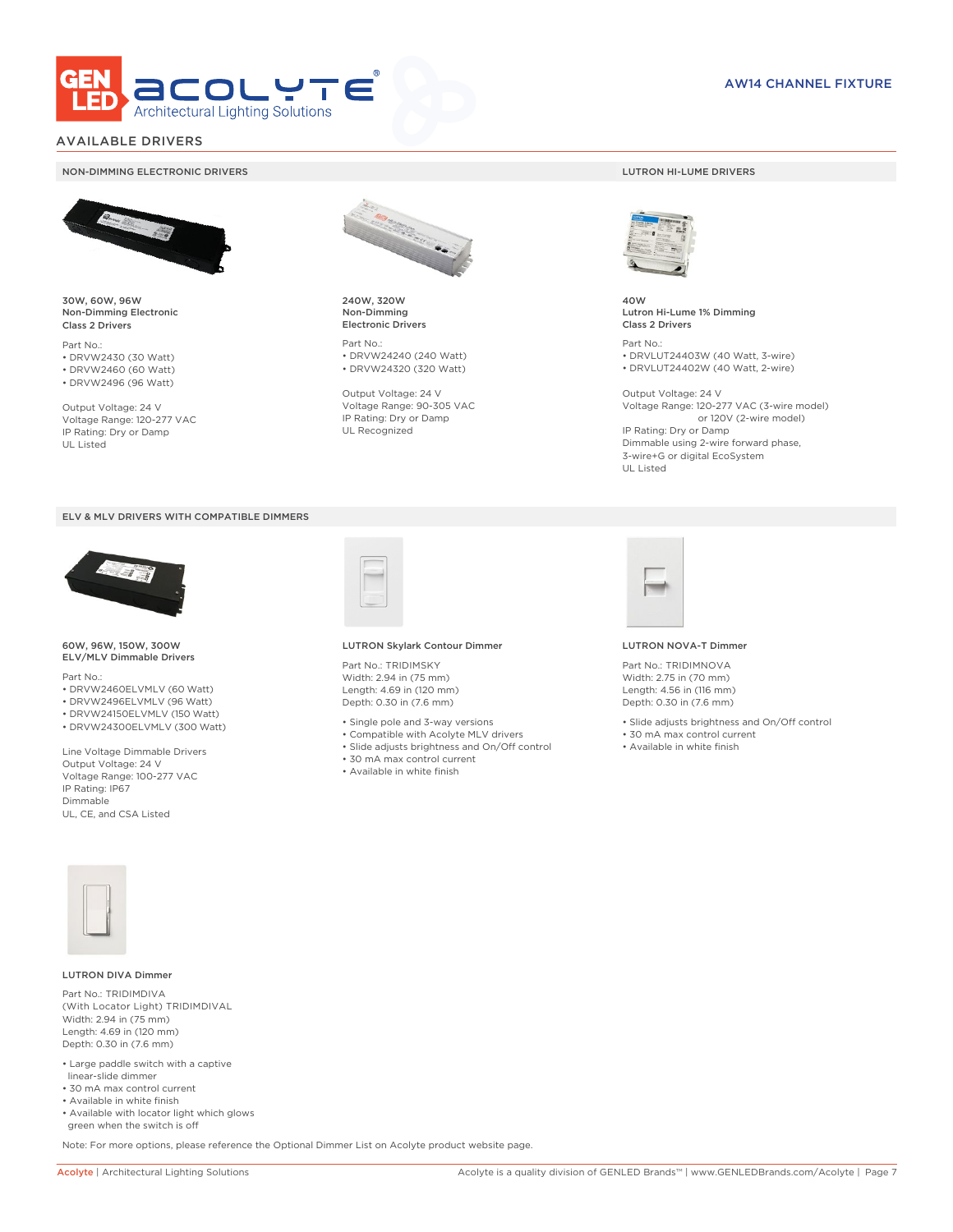

# AVAILABLE DRIVERS

### NON-DIMMING ELECTRONIC DRIVERS LUTRON HI-LUME DRIVERS



30W, 60W, 96W Non-Dimming Electronic Class 2 Drivers

Part No.: • DRVW2430 (30 Watt) • DRVW2460 (60 Watt)

• DRVW2496 (96 Watt)

Output Voltage: 24 V Voltage Range: 120-277 VAC IP Rating: Dry or Damp UL Listed





60W, 96W, 150W, 300W ELV/MLV Dimmable Drivers

Part No.:

- DRVW2460ELVMLV (60 Watt)
- DRVW2496ELVMLV (96 Watt)
- DRVW24150ELVMLV (150 Watt)
- DRVW24300ELVMLV (300 Watt)

Line Voltage Dimmable Drivers Output Voltage: 24 V Voltage Range: 100-277 VAC IP Rating: IP67 Dimmable UL, CE, and CSA Listed



240W, 320W Non-Dimming Electronic Drivers

Part No.: • DRVW24240 (240 Watt) • DRVW24320 (320 Watt)

Output Voltage: 24 V Voltage Range: 90-305 VAC IP Rating: Dry or Damp UL Recognized



40W Lutron Hi-Lume 1% Dimming Class 2 Drivers

Part No.: • DRVLUT24403W (40 Watt, 3-wire) • DRVLUT24402W (40 Watt, 2-wire)

Output Voltage: 24 V Voltage Range: 120-277 VAC (3-wire model) or 120V (2-wire model) IP Rating: Dry or Damp Dimmable using 2-wire forward phase, 3-wire+G or digital EcoSystem UL Listed



### LUTRON Skylark Contour Dimmer

Part No.: TRIDIMSKY Width: 2.94 in (75 mm) Length: 4.69 in (120 mm) Depth: 0.30 in (7.6 mm)

- Single pole and 3-way versions
- Compatible with Acolyte MLV drivers
- Slide adjusts brightness and On/Off control
- 30 mA max control current
- Available in white finish



#### LUTRON NOVA-T Dimmer

Part No.: TRIDIMNOVA Width: 2.75 in (70 mm) Length: 4.56 in (116 mm) Depth: 0.30 in (7.6 mm)

- Slide adjusts brightness and On/Off control
- 30 mA max control current
- Available in white finish



### LUTRON DIVA Dimmer

Part No.: TRIDIMDIVA (With Locator Light) TRIDIMDIVAL Width: 2.94 in (75 mm) Length: 4.69 in (120 mm) Depth: 0.30 in (7.6 mm)

- Large paddle switch with a captive linear-slide dimmer
- 30 mA max control current
- Available in white finish
- Available with locator light which glows green when the switch is off

Note: For more options, please reference the Optional Dimmer List on Acolyte product website page.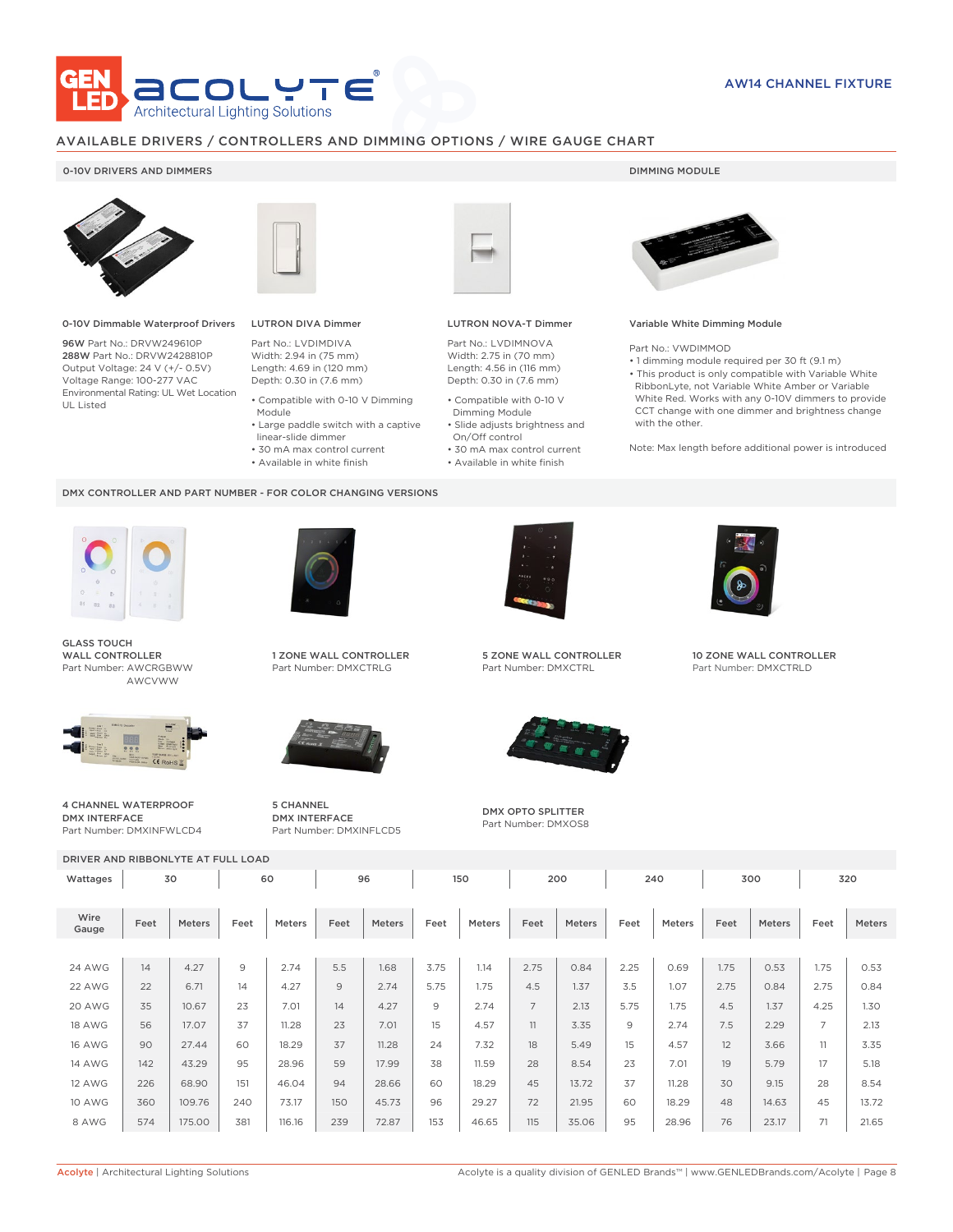

# AVAILABLE DRIVERS / CONTROLLERS AND DIMMING OPTIONS / WIRE GAUGE CHART

### 0-10V DRIVERS AND DIMMERS **DIMMING MODULE**



0-10V Dimmable Waterproof Drivers

96W Part No.: DRVW249610P 288W Part No.: DRVW2428810P Output Voltage: 24 V (+/- 0.5V) Voltage Range: 100-277 VAC Environmental Rating: UL Wet Location UL Listed



# LUTRON DIVA Dimmer

Part No.: LVDIMDIVA Width: 2.94 in (75 mm) Length: 4.69 in (120 mm) Depth: 0.30 in (7.6 mm)

- Compatible with 0-10 V Dimming Module
- Large paddle switch with a captive
- linear-slide dimmer
- 30 mA max control current
- Available in white finish

### DMX CONTROLLER AND PART NUMBER - FOR COLOR CHANGING VERSIONS



GLASS TOUCH WALL CONTROLLER Part Number: AWCRGBWW AWCVWW



4 CHANNEL WATERPROOF DMX INTERFACE Part Number: DMXINFWLCD4



1 ZONE WALL CONTROLLER Part Number: DMXCTRLG



5 CHANNEL DMX INTERFACE Part Number: DMXINFLCD5



### LUTRON NOVA-T Dimmer

Part No.: LVDIMNOVA Width: 2.75 in (70 mm) Length: 4.56 in (116 mm) Depth: 0.30 in (7.6 mm)

- Compatible with 0-10 V Dimming Module
- Slide adjusts brightness and On/Off control
- 30 mA max control current • Available in white finish
	-



### Variable White Dimming Module

Part No.: VWDIMMOD

- 1 dimming module required per 30 ft (9.1 m)
- This product is only compatible with Variable White RibbonLyte, not Variable White Amber or Variable White Red. Works with any 0-10V dimmers to provide CCT change with one dimmer and brightness change with the other.

Note: Max length before additional power is introduced



5 ZONE WALL CONTROLLER Part Number: DMXCTRL



DMX OPTO SPLITTER Part Number: DMXOS8



10 ZONE WALL CONTROLLER Part Number: DMXCTRLD

DRIVER AND RIBBONLYTE AT FULL LOAD Wattages 30 | 60 | 96 | 150 | 200 | 240 | 300 | 320 Wire Gauge Feet Meters Feet Meters Feet Meters Feet Meters Feet Meters Feet Meters Feet Meters Feet Meters 24 AWG | 14 | 4.27 | 9 | 2.74 | 5.5 | 1.68 | 3.75 | 1.14 | 2.75 | 0.84 | 2.25 | 0.69 | 1.75 | 0.53 | 1.75 | 0.53 22 AWG | 22 | 6.71 | 14 | 4.27 | 9 | 2.74 | 5.75 | 1.75 | 4.5 | 1.37 | 3.5 | 1.07 | 2.75 | 0.84 | 2.75 | 0.84 20 AWG | 35 | 10.67 | 23 | 7.01 | 14 | 4.27 | 9 | 2.74 | 7 | 2.13 | 5.75 | 1.75 | 4.5 | 1.37 | 4.25 | 1.30 18 AWG | 56 | 17.07 | 37 | 11.28 | 23 | 7.01 | 15 | 4.57 | 11 | 3.35 | 9 | 2.74 | 7.5 | 2.29 | 7 | 2.13 16 AWG | 90 | 27.44 | 60 | 18.29 | 37 | 11.28 | 24 | 7.32 | 18 | 5.49 | 15 | 4.57 | 12 | 3.66 | 11 | 3.35 14 AWG | 142 | 43.29 | 95 | 28.96 | 59 | 17.99 | 38 | 11.59 | 28 | 8.54 | 23 | 7.01 | 19 | 5.79 | 17 | 5.18 12 AWG | 226 | 68.90 | 151 | 46.04 | 94 | 28.66 | 60 | 18.29 | 45 | 13.72 | 37 | 11.28 | 30 | 9.15 | 28 | 8.54 10 AWG | 360 | 109.76 | 240 | 73.17 | 150 | 45.73 | 96 | 29.27 | 72 | 21.95 | 60 | 18.29 | 48 | 14.63 | 45 | 13.72 8 AWG | 574 | 175.00 | 381 | 116.16 | 239 | 72.87 | 153 | 46.65 | 115 | 35.06 | 95 | 28.96 | 76 | 23.17 | 71 | 21.65